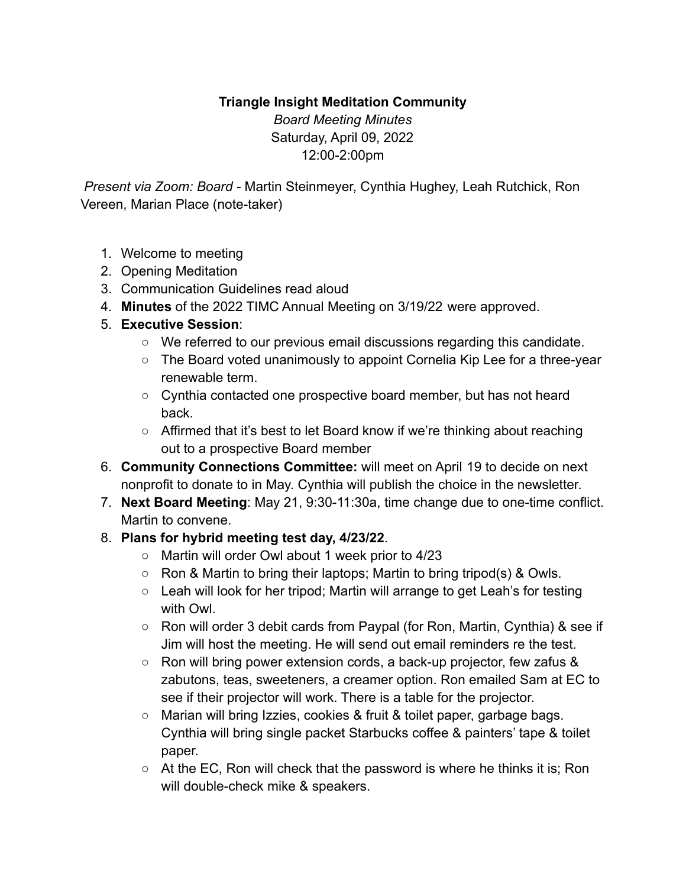## **Triangle Insight Meditation Community**

*Board Meeting Minutes* Saturday, April 09, 2022 12:00-2:00pm

*Present via Zoom: Board -* Martin Steinmeyer, Cynthia Hughey, Leah Rutchick, Ron Vereen, Marian Place (note-taker)

- 1. Welcome to meeting
- 2. Opening Meditation
- 3. Communication Guidelines read aloud
- 4. **Minutes** of the 2022 TIMC Annual Meeting on 3/19/22 were approved.
- 5. **Executive Session**:
	- We referred to our previous email discussions regarding this candidate.
	- The Board voted unanimously to appoint Cornelia Kip Lee for a three-year renewable term.
	- Cynthia contacted one prospective board member, but has not heard back.
	- Affirmed that it's best to let Board know if we're thinking about reaching out to a prospective Board member
- 6. **Community Connections Committee:** will meet on April 19 to decide on next nonprofit to donate to in May. Cynthia will publish the choice in the newsletter.
- 7. **Next Board Meeting**: May 21, 9:30-11:30a, time change due to one-time conflict. Martin to convene.
- 8. **Plans for hybrid meeting test day, 4/23/22**.
	- Martin will order Owl about 1 week prior to 4/23
	- Ron & Martin to bring their laptops; Martin to bring tripod(s) & Owls.
	- Leah will look for her tripod; Martin will arrange to get Leah's for testing with Owl.
	- Ron will order 3 debit cards from Paypal (for Ron, Martin, Cynthia) & see if Jim will host the meeting. He will send out email reminders re the test.
	- Ron will bring power extension cords, a back-up projector, few zafus & zabutons, teas, sweeteners, a creamer option. Ron emailed Sam at EC to see if their projector will work. There is a table for the projector.
	- Marian will bring Izzies, cookies & fruit & toilet paper, garbage bags. Cynthia will bring single packet Starbucks coffee & painters' tape & toilet paper.
	- $\circ$  At the EC, Ron will check that the password is where he thinks it is; Ron will double-check mike & speakers.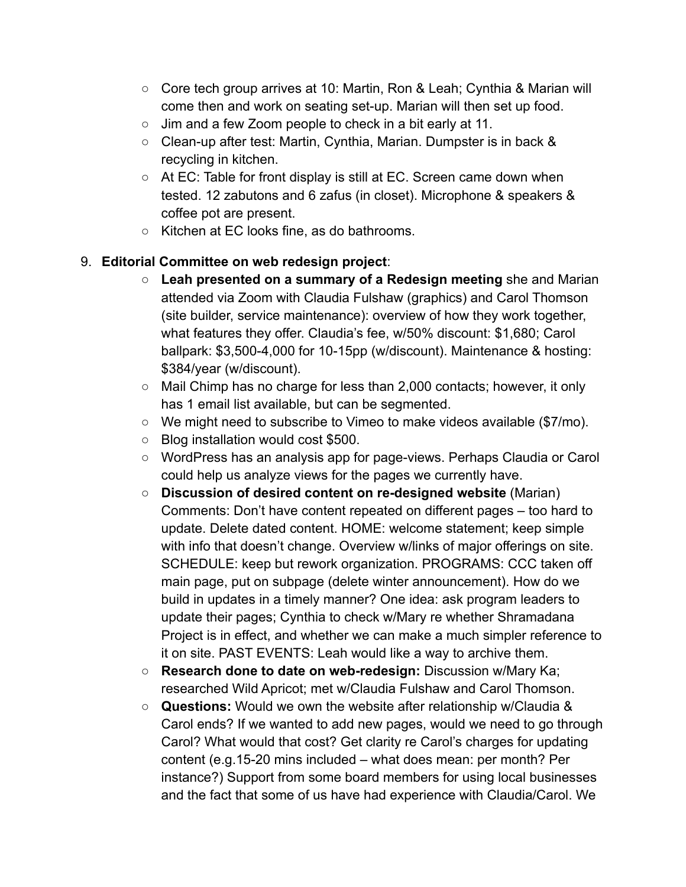- Core tech group arrives at 10: Martin, Ron & Leah; Cynthia & Marian will come then and work on seating set-up. Marian will then set up food.
- Jim and a few Zoom people to check in a bit early at 11.
- Clean-up after test: Martin, Cynthia, Marian. Dumpster is in back & recycling in kitchen.
- $\circ$  At EC: Table for front display is still at EC. Screen came down when tested. 12 zabutons and 6 zafus (in closet). Microphone & speakers & coffee pot are present.
- Kitchen at EC looks fine, as do bathrooms.

## 9. **Editorial Committee on web redesign project**:

- **Leah presented on a summary of a Redesign meeting** she and Marian attended via Zoom with Claudia Fulshaw (graphics) and Carol Thomson (site builder, service maintenance): overview of how they work together, what features they offer. Claudia's fee, w/50% discount: \$1,680; Carol ballpark: \$3,500-4,000 for 10-15pp (w/discount). Maintenance & hosting: \$384/year (w/discount).
- Mail Chimp has no charge for less than 2,000 contacts; however, it only has 1 email list available, but can be segmented.
- We might need to subscribe to Vimeo to make videos available (\$7/mo).
- Blog installation would cost \$500.
- WordPress has an analysis app for page-views. Perhaps Claudia or Carol could help us analyze views for the pages we currently have.
- **Discussion of desired content on re-designed website** (Marian) Comments: Don't have content repeated on different pages – too hard to update. Delete dated content. HOME: welcome statement; keep simple with info that doesn't change. Overview w/links of major offerings on site. SCHEDULE: keep but rework organization. PROGRAMS: CCC taken off main page, put on subpage (delete winter announcement). How do we build in updates in a timely manner? One idea: ask program leaders to update their pages; Cynthia to check w/Mary re whether Shramadana Project is in effect, and whether we can make a much simpler reference to it on site. PAST EVENTS: Leah would like a way to archive them.
- **Research done to date on web-redesign:** Discussion w/Mary Ka; researched Wild Apricot; met w/Claudia Fulshaw and Carol Thomson.
- **Questions:** Would we own the website after relationship w/Claudia & Carol ends? If we wanted to add new pages, would we need to go through Carol? What would that cost? Get clarity re Carol's charges for updating content (e.g.15-20 mins included – what does mean: per month? Per instance?) Support from some board members for using local businesses and the fact that some of us have had experience with Claudia/Carol. We